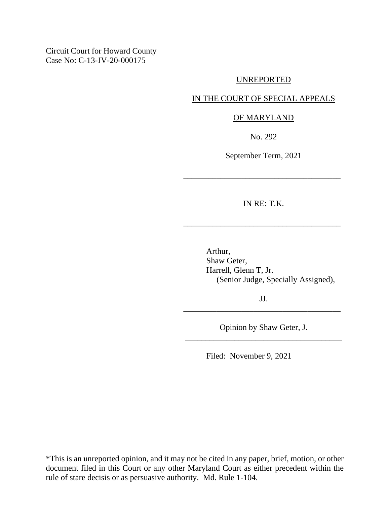Circuit Court for Howard County Case No: C-13-JV-20-000175

#### UNREPORTED

### IN THE COURT OF SPECIAL APPEALS

#### OF MARYLAND

No. 292

September Term, 2021

\_\_\_\_\_\_\_\_\_\_\_\_\_\_\_\_\_\_\_\_\_\_\_\_\_\_\_\_\_\_\_\_\_\_\_\_\_\_

IN RE: T.K.

\_\_\_\_\_\_\_\_\_\_\_\_\_\_\_\_\_\_\_\_\_\_\_\_\_\_\_\_\_\_\_\_\_\_\_\_\_\_

Arthur, Shaw Geter, Harrell, Glenn T, Jr. (Senior Judge, Specially Assigned),

JJ. \_\_\_\_\_\_\_\_\_\_\_\_\_\_\_\_\_\_\_\_\_\_\_\_\_\_\_\_\_\_\_\_\_\_\_\_\_\_

Opinion by Shaw Geter, J. \_\_\_\_\_\_\_\_\_\_\_\_\_\_\_\_\_\_\_\_\_\_\_\_\_\_\_\_\_\_\_\_\_\_\_\_\_\_

Filed: November 9, 2021

\*This is an unreported opinion, and it may not be cited in any paper, brief, motion, or other document filed in this Court or any other Maryland Court as either precedent within the rule of stare decisis or as persuasive authority. Md. Rule 1-104.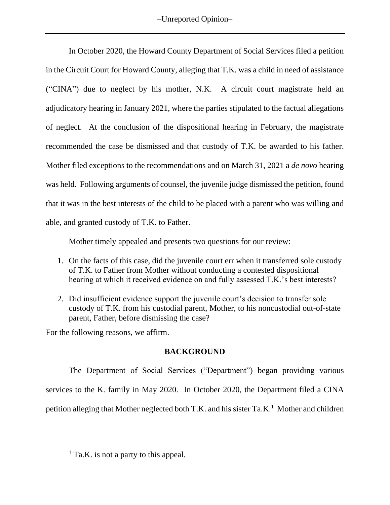In October 2020, the Howard County Department of Social Services filed a petition in the Circuit Court for Howard County, alleging that T.K. was a child in need of assistance ("CINA") due to neglect by his mother, N.K. A circuit court magistrate held an adjudicatory hearing in January 2021, where the parties stipulated to the factual allegations of neglect. At the conclusion of the dispositional hearing in February, the magistrate recommended the case be dismissed and that custody of T.K. be awarded to his father. Mother filed exceptions to the recommendations and on March 31, 2021 a *de novo* hearing was held. Following arguments of counsel, the juvenile judge dismissed the petition, found that it was in the best interests of the child to be placed with a parent who was willing and able, and granted custody of T.K. to Father.

Mother timely appealed and presents two questions for our review:

- 1. On the facts of this case, did the juvenile court err when it transferred sole custody of T.K. to Father from Mother without conducting a contested dispositional hearing at which it received evidence on and fully assessed T.K.'s best interests?
- 2. Did insufficient evidence support the juvenile court's decision to transfer sole custody of T.K. from his custodial parent, Mother, to his noncustodial out-of-state parent, Father, before dismissing the case?

For the following reasons, we affirm.

# **BACKGROUND**

The Department of Social Services ("Department") began providing various services to the K. family in May 2020. In October 2020, the Department filed a CINA petition alleging that Mother neglected both T.K. and his sister  $Ta.K.<sup>1</sup>$  Mother and children

 $<sup>1</sup>$  Ta.K. is not a party to this appeal.</sup>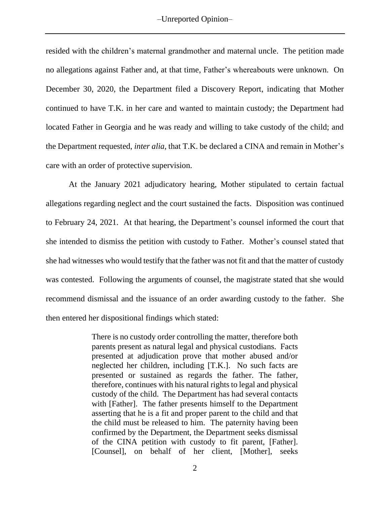resided with the children's maternal grandmother and maternal uncle. The petition made no allegations against Father and, at that time, Father's whereabouts were unknown. On December 30, 2020, the Department filed a Discovery Report, indicating that Mother continued to have T.K. in her care and wanted to maintain custody; the Department had located Father in Georgia and he was ready and willing to take custody of the child; and the Department requested, *inter alia*, that T.K. be declared a CINA and remain in Mother's care with an order of protective supervision.

At the January 2021 adjudicatory hearing, Mother stipulated to certain factual allegations regarding neglect and the court sustained the facts. Disposition was continued to February 24, 2021. At that hearing, the Department's counsel informed the court that she intended to dismiss the petition with custody to Father. Mother's counsel stated that she had witnesses who would testify that the father was not fit and that the matter of custody was contested. Following the arguments of counsel, the magistrate stated that she would recommend dismissal and the issuance of an order awarding custody to the father. She then entered her dispositional findings which stated:

> There is no custody order controlling the matter, therefore both parents present as natural legal and physical custodians. Facts presented at adjudication prove that mother abused and/or neglected her children, including [T.K.]. No such facts are presented or sustained as regards the father. The father, therefore, continues with his natural rights to legal and physical custody of the child. The Department has had several contacts with [Father]. The father presents himself to the Department asserting that he is a fit and proper parent to the child and that the child must be released to him. The paternity having been confirmed by the Department, the Department seeks dismissal of the CINA petition with custody to fit parent, [Father]. [Counsel], on behalf of her client, [Mother], seeks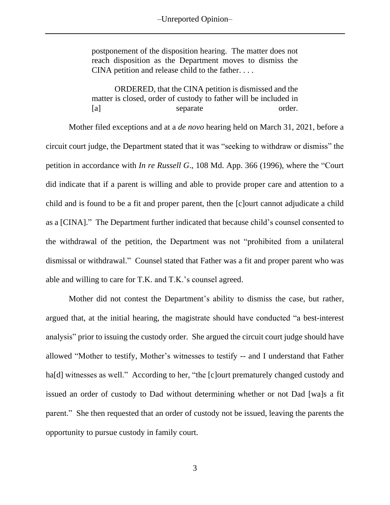postponement of the disposition hearing. The matter does not reach disposition as the Department moves to dismiss the CINA petition and release child to the father. . . .

ORDERED, that the CINA petition is dismissed and the matter is closed, order of custody to father will be included in [a] separate order.

Mother filed exceptions and at a *de novo* hearing held on March 31, 2021, before a circuit court judge, the Department stated that it was "seeking to withdraw or dismiss" the petition in accordance with *In re Russell G*., 108 Md. App. 366 (1996), where the "Court did indicate that if a parent is willing and able to provide proper care and attention to a child and is found to be a fit and proper parent, then the [c]ourt cannot adjudicate a child as a [CINA]." The Department further indicated that because child's counsel consented to the withdrawal of the petition, the Department was not "prohibited from a unilateral dismissal or withdrawal." Counsel stated that Father was a fit and proper parent who was able and willing to care for T.K. and T.K.'s counsel agreed.

Mother did not contest the Department's ability to dismiss the case, but rather, argued that, at the initial hearing, the magistrate should have conducted "a best-interest analysis" prior to issuing the custody order. She argued the circuit court judge should have allowed "Mother to testify, Mother's witnesses to testify -- and I understand that Father ha[d] witnesses as well." According to her, "the [c]ourt prematurely changed custody and issued an order of custody to Dad without determining whether or not Dad [wa]s a fit parent." She then requested that an order of custody not be issued, leaving the parents the opportunity to pursue custody in family court.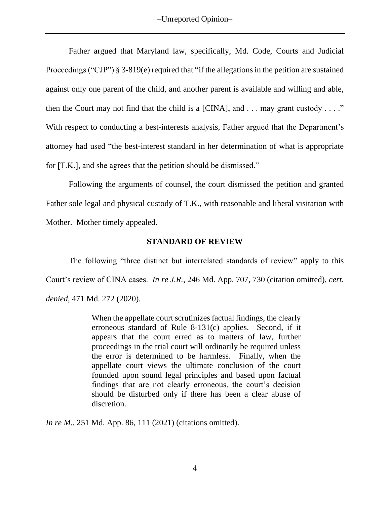Father argued that Maryland law, specifically, Md. Code, Courts and Judicial Proceedings ("CJP") § 3-819(e) required that "if the allegations in the petition are sustained against only one parent of the child, and another parent is available and willing and able, then the Court may not find that the child is a [CINA], and  $\dots$  may grant custody  $\dots$ ." With respect to conducting a best-interests analysis, Father argued that the Department's attorney had used "the best-interest standard in her determination of what is appropriate for [T.K.], and she agrees that the petition should be dismissed."

Following the arguments of counsel, the court dismissed the petition and granted Father sole legal and physical custody of T.K., with reasonable and liberal visitation with Mother. Mother timely appealed.

### **STANDARD OF REVIEW**

The following "three distinct but interrelated standards of review" apply to this Court's review of CINA cases. *In re J.R.*, 246 Md. App. 707, 730 (citation omitted), *cert. denied*, 471 Md. 272 (2020).

> When the appellate court scrutinizes factual findings, the clearly erroneous standard of Rule 8-131(c) applies. Second, if it appears that the court erred as to matters of law, further proceedings in the trial court will ordinarily be required unless the error is determined to be harmless. Finally, when the appellate court views the ultimate conclusion of the court founded upon sound legal principles and based upon factual findings that are not clearly erroneous, the court's decision should be disturbed only if there has been a clear abuse of discretion.

*In re M.*, 251 Md. App. 86, 111 (2021) (citations omitted).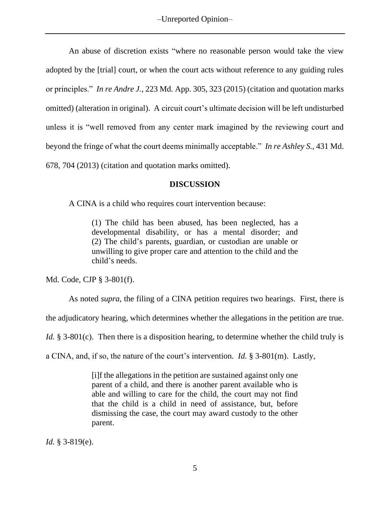An abuse of discretion exists "where no reasonable person would take the view adopted by the [trial] court, or when the court acts without reference to any guiding rules or principles." *In re Andre J.*, 223 Md. App. 305, 323 (2015) (citation and quotation marks omitted) (alteration in original). A circuit court's ultimate decision will be left undisturbed unless it is "well removed from any center mark imagined by the reviewing court and beyond the fringe of what the court deems minimally acceptable." *In re Ashley S.*, 431 Md. 678, 704 (2013) (citation and quotation marks omitted).

## **DISCUSSION**

A CINA is a child who requires court intervention because:

(1) The child has been abused, has been neglected, has a developmental disability, or has a mental disorder; and (2) The child's parents, guardian, or custodian are unable or unwilling to give proper care and attention to the child and the child's needs.

Md. Code, CJP § 3-801(f).

As noted *supra*, the filing of a CINA petition requires two hearings. First, there is

the adjudicatory hearing, which determines whether the allegations in the petition are true.

*Id.* § 3-801(c). Then there is a disposition hearing, to determine whether the child truly is

a CINA, and, if so, the nature of the court's intervention. *Id.* § 3-801(m). Lastly,

[i]f the allegations in the petition are sustained against only one parent of a child, and there is another parent available who is able and willing to care for the child, the court may not find that the child is a child in need of assistance, but, before dismissing the case, the court may award custody to the other parent.

*Id.* § 3-819(e).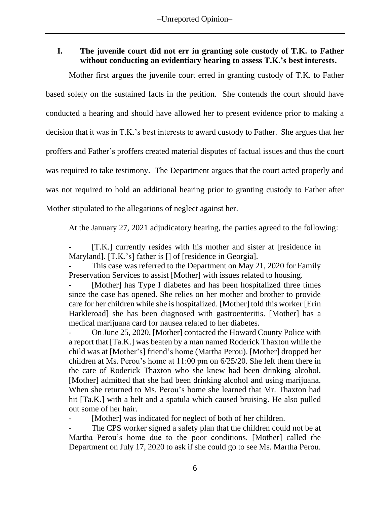# **I. The juvenile court did not err in granting sole custody of T.K. to Father without conducting an evidentiary hearing to assess T.K.'s best interests.**

Mother first argues the juvenile court erred in granting custody of T.K. to Father based solely on the sustained facts in the petition. She contends the court should have conducted a hearing and should have allowed her to present evidence prior to making a decision that it was in T.K.'s best interests to award custody to Father. She argues that her proffers and Father's proffers created material disputes of factual issues and thus the court was required to take testimony. The Department argues that the court acted properly and was not required to hold an additional hearing prior to granting custody to Father after Mother stipulated to the allegations of neglect against her.

At the January 27, 2021 adjudicatory hearing, the parties agreed to the following:

[T.K.] currently resides with his mother and sister at [residence in Maryland]. [T.K.'s] father is [] of [residence in Georgia].

This case was referred to the Department on May 21, 2020 for Family Preservation Services to assist [Mother] with issues related to housing.

[Mother] has Type I diabetes and has been hospitalized three times since the case has opened. She relies on her mother and brother to provide care for her children while she is hospitalized. [Mother] told this worker [Erin Harkleroad] she has been diagnosed with gastroenteritis. [Mother] has a medical marijuana card for nausea related to her diabetes.

On June 25, 2020, [Mother] contacted the Howard County Police with a report that [Ta.K.] was beaten by a man named Roderick Thaxton while the child was at [Mother's] friend's home (Martha Perou). [Mother] dropped her children at Ms. Perou's home at 11:00 pm on 6/25/20. She left them there in the care of Roderick Thaxton who she knew had been drinking alcohol. [Mother] admitted that she had been drinking alcohol and using marijuana. When she returned to Ms. Perou's home she learned that Mr. Thaxton had hit [Ta.K.] with a belt and a spatula which caused bruising. He also pulled out some of her hair.

[Mother] was indicated for neglect of both of her children.

The CPS worker signed a safety plan that the children could not be at Martha Perou's home due to the poor conditions. [Mother] called the Department on July 17, 2020 to ask if she could go to see Ms. Martha Perou.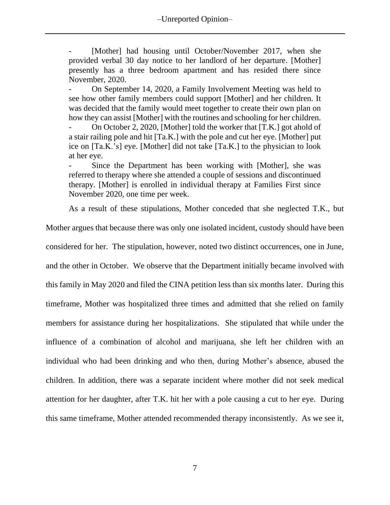[Mother] had housing until October/November 2017, when she provided verbal 30 day notice to her landlord of her departure. [Mother] presently has a three bedroom apartment and has resided there since November, 2020.

- On September 14, 2020, a Family Involvement Meeting was held to see how other family members could support [Mother] and her children. It was decided that the family would meet together to create their own plan on how they can assist [Mother] with the routines and schooling for her children.

- On October 2, 2020, [Mother] told the worker that [T.K.] got ahold of a stair railing pole and hit [Ta.K.] with the pole and cut her eye. [Mother] put ice on [Ta.K.'s] eye. [Mother] did not take [Ta.K.] to the physician to look at her eye.

Since the Department has been working with [Mother], she was referred to therapy where she attended a couple of sessions and discontinued therapy. [Mother] is enrolled in individual therapy at Families First since November 2020, one time per week.

As a result of these stipulations, Mother conceded that she neglected T.K., but

Mother argues that because there was only one isolated incident, custody should have been considered for her. The stipulation, however, noted two distinct occurrences, one in June, and the other in October. We observe that the Department initially became involved with this family in May 2020 and filed the CINA petition less than six months later. During this timeframe, Mother was hospitalized three times and admitted that she relied on family members for assistance during her hospitalizations. She stipulated that while under the influence of a combination of alcohol and marijuana, she left her children with an individual who had been drinking and who then, during Mother's absence, abused the children. In addition, there was a separate incident where mother did not seek medical attention for her daughter, after T.K. hit her with a pole causing a cut to her eye. During this same timeframe, Mother attended recommended therapy inconsistently. As we see it,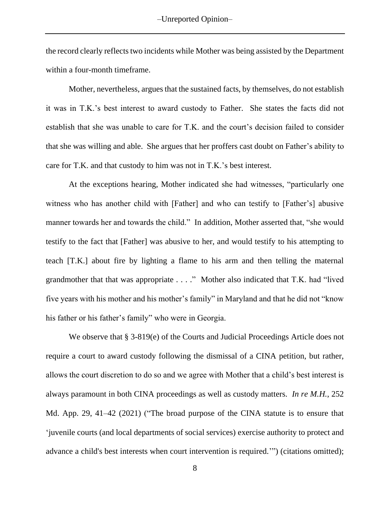the record clearly reflects two incidents while Mother was being assisted by the Department within a four-month timeframe.

Mother, nevertheless, argues that the sustained facts, by themselves, do not establish it was in T.K.'s best interest to award custody to Father. She states the facts did not establish that she was unable to care for T.K. and the court's decision failed to consider that she was willing and able. She argues that her proffers cast doubt on Father's ability to care for T.K. and that custody to him was not in T.K.'s best interest.

At the exceptions hearing, Mother indicated she had witnesses, "particularly one witness who has another child with [Father] and who can testify to [Father's] abusive manner towards her and towards the child." In addition, Mother asserted that, "she would testify to the fact that [Father] was abusive to her, and would testify to his attempting to teach [T.K.] about fire by lighting a flame to his arm and then telling the maternal grandmother that that was appropriate . . . ." Mother also indicated that T.K. had "lived five years with his mother and his mother's family" in Maryland and that he did not "know his father or his father's family" who were in Georgia.

We observe that § 3-819(e) of the Courts and Judicial Proceedings Article does not require a court to award custody following the dismissal of a CINA petition, but rather, allows the court discretion to do so and we agree with Mother that a child's best interest is always paramount in both CINA proceedings as well as custody matters. *In re M.H.*, 252 Md. App. 29, 41–42 (2021) ("The broad purpose of the CINA statute is to ensure that 'juvenile courts (and local departments of social services) exercise authority to protect and advance a child's best interests when court intervention is required.'") (citations omitted);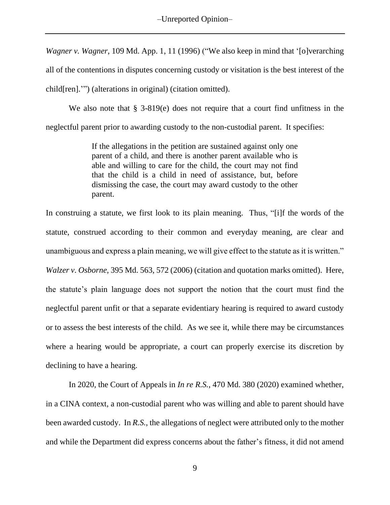*Wagner v. Wagner*, 109 Md. App. 1, 11 (1996) ("We also keep in mind that '[o]verarching all of the contentions in disputes concerning custody or visitation is the best interest of the child[ren].'") (alterations in original) (citation omitted).

We also note that § 3-819(e) does not require that a court find unfitness in the neglectful parent prior to awarding custody to the non-custodial parent. It specifies:

> If the allegations in the petition are sustained against only one parent of a child, and there is another parent available who is able and willing to care for the child, the court may not find that the child is a child in need of assistance, but, before dismissing the case, the court may award custody to the other parent.

In construing a statute, we first look to its plain meaning. Thus, "[i]f the words of the statute, construed according to their common and everyday meaning, are clear and unambiguous and express a plain meaning, we will give effect to the statute as it is written." *Walzer v. Osborne*, 395 Md. 563, 572 (2006) (citation and quotation marks omitted). Here, the statute's plain language does not support the notion that the court must find the neglectful parent unfit or that a separate evidentiary hearing is required to award custody or to assess the best interests of the child. As we see it, while there may be circumstances where a hearing would be appropriate, a court can properly exercise its discretion by declining to have a hearing.

In 2020, the Court of Appeals in *In re R.S.*, 470 Md. 380 (2020) examined whether, in a CINA context, a non-custodial parent who was willing and able to parent should have been awarded custody. In *R.S.*, the allegations of neglect were attributed only to the mother and while the Department did express concerns about the father's fitness, it did not amend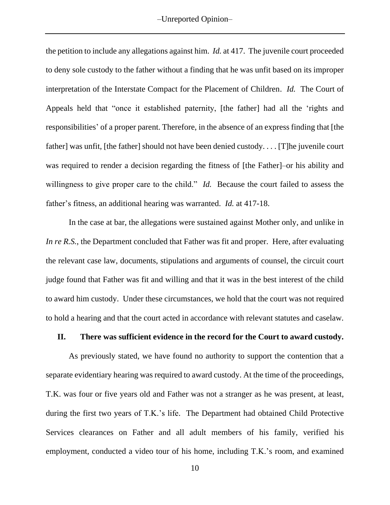the petition to include any allegations against him. *Id.* at 417. The juvenile court proceeded to deny sole custody to the father without a finding that he was unfit based on its improper interpretation of the Interstate Compact for the Placement of Children. *Id.* The Court of Appeals held that "once it established paternity, [the father] had all the 'rights and responsibilities' of a proper parent. Therefore, in the absence of an express finding that [the father] was unfit, [the father] should not have been denied custody. . . . [T]he juvenile court was required to render a decision regarding the fitness of [the Father]–or his ability and willingness to give proper care to the child." *Id.* Because the court failed to assess the father's fitness, an additional hearing was warranted. *Id.* at 417-18.

In the case at bar, the allegations were sustained against Mother only, and unlike in *In re R.S.*, the Department concluded that Father was fit and proper. Here, after evaluating the relevant case law, documents, stipulations and arguments of counsel, the circuit court judge found that Father was fit and willing and that it was in the best interest of the child to award him custody. Under these circumstances, we hold that the court was not required to hold a hearing and that the court acted in accordance with relevant statutes and caselaw*.*

### **II. There was sufficient evidence in the record for the Court to award custody.**

As previously stated, we have found no authority to support the contention that a separate evidentiary hearing was required to award custody. At the time of the proceedings, T.K. was four or five years old and Father was not a stranger as he was present, at least, during the first two years of T.K.'s life. The Department had obtained Child Protective Services clearances on Father and all adult members of his family, verified his employment, conducted a video tour of his home, including T.K.'s room, and examined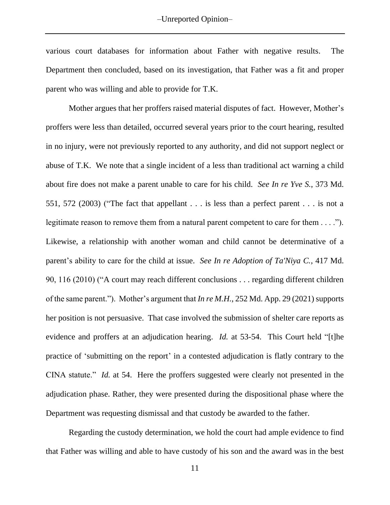various court databases for information about Father with negative results. The Department then concluded, based on its investigation, that Father was a fit and proper parent who was willing and able to provide for T.K.

Mother argues that her proffers raised material disputes of fact. However, Mother's proffers were less than detailed, occurred several years prior to the court hearing, resulted in no injury, were not previously reported to any authority, and did not support neglect or abuse of T.K. We note that a single incident of a less than traditional act warning a child about fire does not make a parent unable to care for his child. *See In re Yve S.*, 373 Md. 551, 572 (2003) ("The fact that appellant . . . is less than a perfect parent . . . is not a legitimate reason to remove them from a natural parent competent to care for them . . . ."). Likewise, a relationship with another woman and child cannot be determinative of a parent's ability to care for the child at issue. *See In re Adoption of Ta'Niya C.*, 417 Md. 90, 116 (2010) ("A court may reach different conclusions . . . regarding different children of the same parent."). Mother's argument that *In re M.H.*, 252 Md. App. 29 (2021) supports her position is not persuasive. That case involved the submission of shelter care reports as evidence and proffers at an adjudication hearing. *Id.* at 53-54. This Court held "[t]he practice of 'submitting on the report' in a contested adjudication is flatly contrary to the CINA statute." *Id.* at 54. Here the proffers suggested were clearly not presented in the adjudication phase. Rather, they were presented during the dispositional phase where the Department was requesting dismissal and that custody be awarded to the father.

Regarding the custody determination, we hold the court had ample evidence to find that Father was willing and able to have custody of his son and the award was in the best